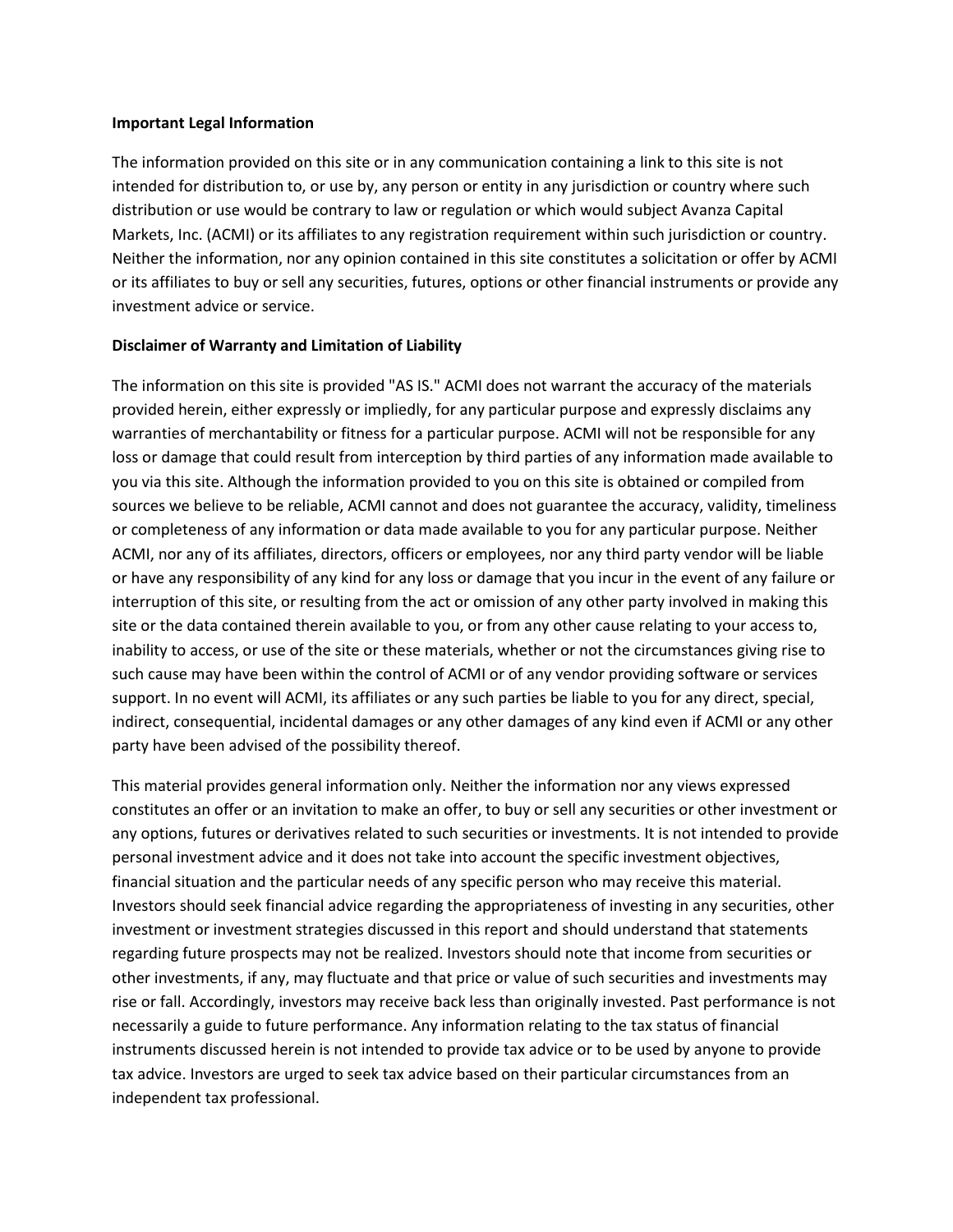## **Important Legal Information**

The information provided on this site or in any communication containing a link to this site is not intended for distribution to, or use by, any person or entity in any jurisdiction or country where such distribution or use would be contrary to law or regulation or which would subject Avanza Capital Markets, Inc. (ACMI) or its affiliates to any registration requirement within such jurisdiction or country. Neither the information, nor any opinion contained in this site constitutes a solicitation or offer by ACMI or its affiliates to buy or sell any securities, futures, options or other financial instruments or provide any investment advice or service.

## **Disclaimer of Warranty and Limitation of Liability**

The information on this site is provided "AS IS." ACMI does not warrant the accuracy of the materials provided herein, either expressly or impliedly, for any particular purpose and expressly disclaims any warranties of merchantability or fitness for a particular purpose. ACMI will not be responsible for any loss or damage that could result from interception by third parties of any information made available to you via this site. Although the information provided to you on this site is obtained or compiled from sources we believe to be reliable, ACMI cannot and does not guarantee the accuracy, validity, timeliness or completeness of any information or data made available to you for any particular purpose. Neither ACMI, nor any of its affiliates, directors, officers or employees, nor any third party vendor will be liable or have any responsibility of any kind for any loss or damage that you incur in the event of any failure or interruption of this site, or resulting from the act or omission of any other party involved in making this site or the data contained therein available to you, or from any other cause relating to your access to, inability to access, or use of the site or these materials, whether or not the circumstances giving rise to such cause may have been within the control of ACMI or of any vendor providing software or services support. In no event will ACMI, its affiliates or any such parties be liable to you for any direct, special, indirect, consequential, incidental damages or any other damages of any kind even if ACMI or any other party have been advised of the possibility thereof.

This material provides general information only. Neither the information nor any views expressed constitutes an offer or an invitation to make an offer, to buy or sell any securities or other investment or any options, futures or derivatives related to such securities or investments. It is not intended to provide personal investment advice and it does not take into account the specific investment objectives, financial situation and the particular needs of any specific person who may receive this material. Investors should seek financial advice regarding the appropriateness of investing in any securities, other investment or investment strategies discussed in this report and should understand that statements regarding future prospects may not be realized. Investors should note that income from securities or other investments, if any, may fluctuate and that price or value of such securities and investments may rise or fall. Accordingly, investors may receive back less than originally invested. Past performance is not necessarily a guide to future performance. Any information relating to the tax status of financial instruments discussed herein is not intended to provide tax advice or to be used by anyone to provide tax advice. Investors are urged to seek tax advice based on their particular circumstances from an independent tax professional.